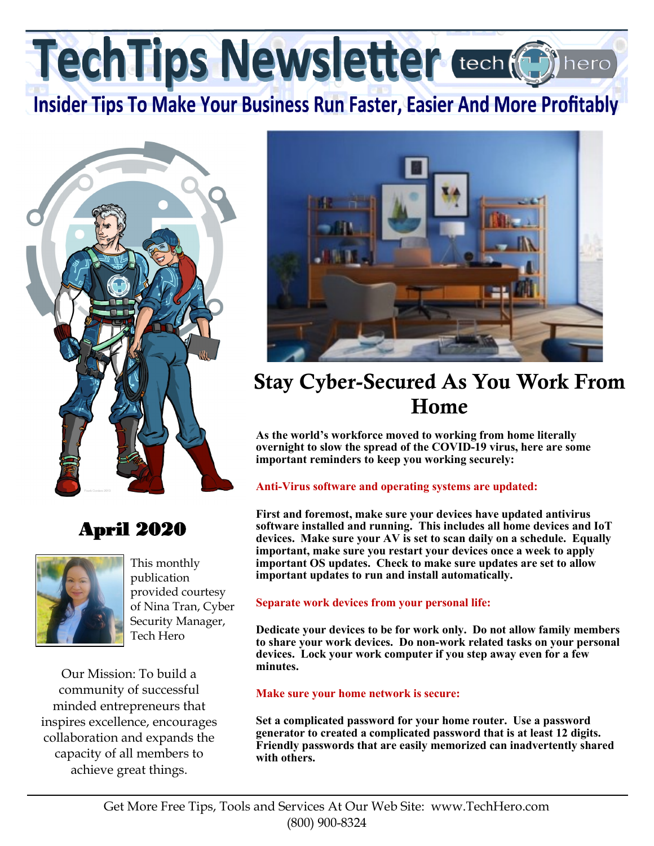TechTips Newsletter tech (@

**Insider Tips To Make Your Business Run Faster, Easier And More Profitably** 



## April 2020



This monthly publication provided courtesy of Nina Tran, Cyber Security Manager, Tech Hero

Our Mission: To build a community of successful minded entrepreneurs that inspires excellence, encourages collaboration and expands the capacity of all members to achieve great things.



# Stay Cyber-Secured As You Work From Home

**As the world's workforce moved to working from home literally overnight to slow the spread of the COVID-19 virus, here are some important reminders to keep you working securely:**

#### **Anti-Virus software and operating systems are updated:**

**First and foremost, make sure your devices have updated antivirus software installed and running. This includes all home devices and IoT devices. Make sure your AV is set to scan daily on a schedule. Equally important, make sure you restart your devices once a week to apply important OS updates. Check to make sure updates are set to allow important updates to run and install automatically.** 

#### **Separate work devices from your personal life:**

**Dedicate your devices to be for work only. Do not allow family members to share your work devices. Do non-work related tasks on your personal devices. Lock your work computer if you step away even for a few minutes.** 

#### **Make sure your home network is secure:**

**Set a complicated password for your home router. Use a password generator to created a complicated password that is at least 12 digits. Friendly passwords that are easily memorized can inadvertently shared with others.**